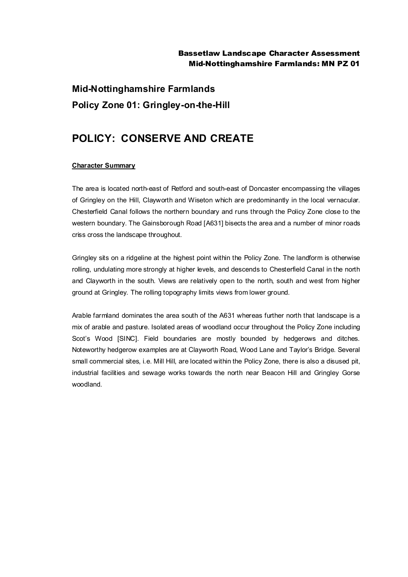#### Bassetlaw Landscape Character Assessment Mid-Nottinghamshire Farmlands: MN PZ 01

# **Mid-Nottinghamshire Farmlands Policy Zone 01: Gringley-on-the-Hill**

## **POLICY: CONSERVE AND CREATE**

#### **Character Summary**

The area is located north-east of Retford and south-east of Doncaster encompassing the villages of Gringley on the Hill, Clayworth and Wiseton which are predominantly in the local vernacular. Chesterfield Canal follows the northern boundary and runs through the Policy Zone close to the western boundary. The Gainsborough Road [A631] bisects the area and a number of minor roads criss cross the landscape throughout.

Gringley sits on a ridgeline at the highest point within the Policy Zone. The landform is otherwise rolling, undulating more strongly at higher levels, and descends to Chesterfield Canal in the north and Clayworth in the south. Views are relatively open to the north, south and west from higher ground at Gringley. The rolling topography limits views from lower ground.

Arable farmland dominates the area south of the A631 whereas further north that landscape is a mix of arable and pasture. Isolated areas of woodland occur throughout the Policy Zone including Scot's Wood [SINC]. Field boundaries are mostly bounded by hedgerows and ditches. Noteworthy hedgerow examples are at Clayworth Road, Wood Lane and Taylor's Bridge. Several small commercial sites, i.e. Mill Hill, are located within the Policy Zone, there is also a disused pit, industrial facilities and sewage works towards the north near Beacon Hill and Gringley Gorse woodland.